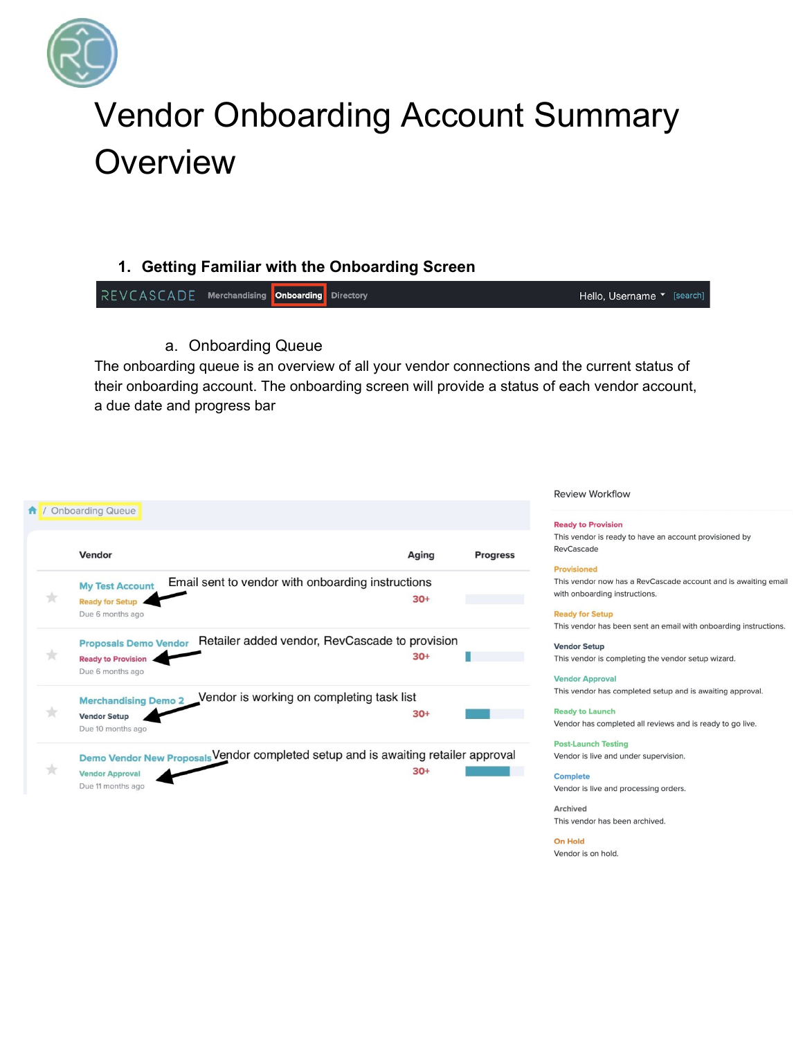

# **Vendor Onboarding Account Summary** Overview

## 1. Getting Familiar with the Onboarding Screen

REVCASCADE Merchandising Onboarding **Directory** Hello, Username <sup>v</sup> [search]

a. Onboarding Queue

The onboarding queue is an overview of all your vendor connections and the current status of their onboarding account. The onboarding screen will provide a status of each vendor account, a due date and progress bar

#### 1 / Onboarding Queue Vendor Aging **Progress** Email sent to vendor with onboarding instructions **My Test Account**  $\pm$  $30+$ Ready for Setup Due 6 months ago Proposals Demo Vendor Retailer added vendor, RevCascade to provision  $\pm$  $30+$ п **Ready to Provision** Due 6 months ago Merchandising Demo 2 Vendor is working on completing task list  $\pm$  $30+$ **Vendor Setup** Due 10 months ago Demo Vendor New Proposals Vendor completed setup and is awaiting retailer approval  $\star$  $30+$ **Vendor Approval** Due 11 months ago

**Review Workflow** 

#### **Ready to Provision**

This vendor is ready to have an account provisioned by RevCascade

#### **Provisioned**

This vendor now has a RevCascade account and is awaiting email with onboarding instructions.

**Ready for Setup** This vendor has been sent an email with onboarding instructions.

**Vendor Setup** This vendor is completing the vendor setup wizard.

**Vendor Approval** This vendor has completed setup and is awaiting approval.

**Ready to Launch** Vendor has completed all reviews and is ready to go live.

**Post-Launch Testing** Vendor is live and under supervision.

**Complete** Vendor is live and processing orders.

Archived This vendor has been archived.

**On Hold** Vendor is on hold.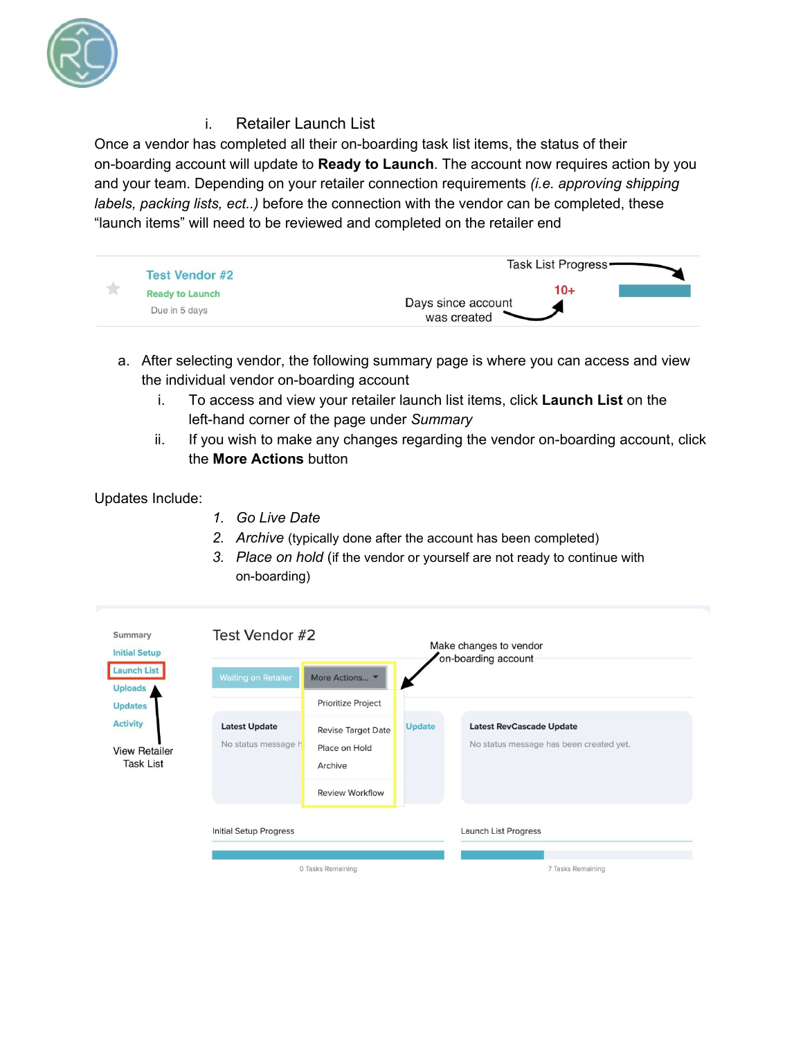

## i. Retailer Launch List

Once a vendor has completed all their on-boarding task list items, the status of their on-boarding account will update to **Ready to Launch**. The account now requires action by you and your team. Depending on your retailer connection requirements *(i.e. approving shipping labels, packing lists, ect..)* before the connection with the vendor can be completed, these "launch items" will need to be reviewed and completed on the retailer end



- a. After selecting vendor, the following summary page is where you can access and view the individual vendor on-boarding account
	- i. To access and view your retailer launch list items, click **Launch List** on the left-hand corner of the page under *Summary*
	- ii. If you wish to make any changes regarding the vendor on-boarding account, click the **More Actions** button

### Updates Include:

- *1. Go Live Date*
- *2. Archive* (typically done after the account has been completed)
- *3. Place on hold* (if the vendor or yourself are not ready to continue with on-boarding)

| <b>Initial Setup</b><br><b>Launch List</b><br><b>Uploads</b> | <b>Waiting on Retailer</b><br>More Actions • |                                                       | on-boarding account |                                                                            |  |
|--------------------------------------------------------------|----------------------------------------------|-------------------------------------------------------|---------------------|----------------------------------------------------------------------------|--|
| <b>Updates</b>                                               |                                              | Prioritize Project                                    |                     |                                                                            |  |
| <b>Activity</b><br><b>View Retailer</b><br><b>Task List</b>  | <b>Latest Update</b><br>No status message hi | <b>Revise Target Date</b><br>Place on Hold<br>Archive | <b>Update</b>       | <b>Latest RevCascade Update</b><br>No status message has been created yet. |  |
|                                                              |                                              | <b>Review Workflow</b>                                |                     |                                                                            |  |
|                                                              | Initial Setup Progress                       |                                                       |                     | Launch List Progress                                                       |  |